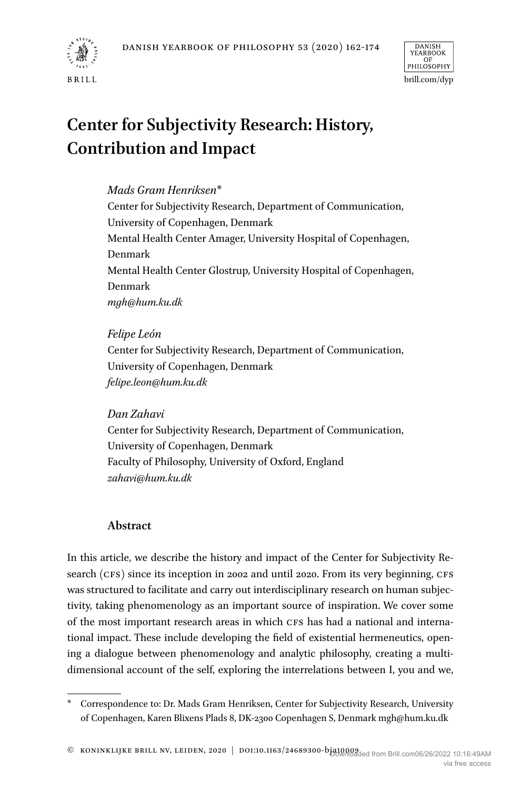



# **Center for Subjectivity Research: History, Contribution and Impact**

# *Mads Gram Henriksen*\*

Center for Subjectivity Research, Department of Communication, University of Copenhagen, Denmark Mental Health Center Amager, University Hospital of Copenhagen, Denmark Mental Health Center Glostrup, University Hospital of Copenhagen, Denmark *mgh@hum.ku.dk*

*Felipe León* Center for Subjectivity Research, Department of Communication, University of Copenhagen, Denmark *felipe.leon@hum.ku.dk*

## *Dan Zahavi*

Center for Subjectivity Research, Department of Communication, University of Copenhagen, Denmark Faculty of Philosophy, University of Oxford, England *zahavi@hum.ku.dk*

# **Abstract**

In this article, we describe the history and impact of the Center for Subjectivity Research (CFS) since its inception in 2002 and until 2020. From its very beginning, CFS was structured to facilitate and carry out interdisciplinary research on human subjectivity, taking phenomenology as an important source of inspiration. We cover some of the most important research areas in which CFS has had a national and international impact. These include developing the field of existential hermeneutics, opening a dialogue between phenomenology and analytic philosophy, creating a multidimensional account of the self, exploring the interrelations between I, you and we,

<sup>\*</sup> Correspondence to: Dr. Mads Gram Henriksen, Center for Subjectivity Research, University of Copenhagen, Karen Blixens Plads 8, DK-2300 Copenhagen S, Denmark mgh@hum.ku.dk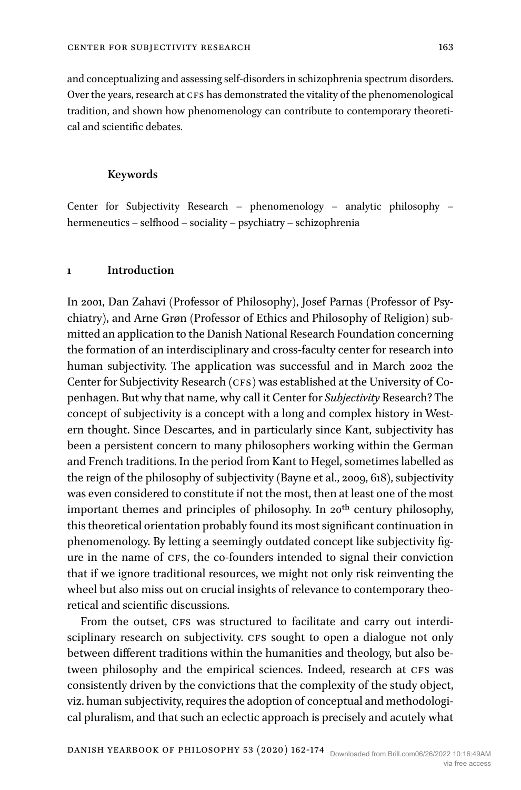and conceptualizing and assessing self-disorders in schizophrenia spectrum disorders. Over the years, research at CFS has demonstrated the vitality of the phenomenological tradition, and shown how phenomenology can contribute to contemporary theoretical and scientific debates.

## **Keywords**

Center for Subjectivity Research – phenomenology – analytic philosophy – hermeneutics – selfhood – sociality – psychiatry – schizophrenia

## **1 Introduction**

In 2001, Dan Zahavi (Professor of Philosophy), Josef Parnas (Professor of Psychiatry), and Arne Grøn (Professor of Ethics and Philosophy of Religion) submitted an application to the Danish National Research Foundation concerning the formation of an interdisciplinary and cross-faculty center for research into human subjectivity. The application was successful and in March 2002 the Center for Subjectivity Research (CFS) was established at the University of Copenhagen. But why that name, why call it Center for *Subjectivity* Research? The concept of subjectivity is a concept with a long and complex history in Western thought. Since Descartes, and in particularly since Kant, subjectivity has been a persistent concern to many philosophers working within the German and French traditions. In the period from Kant to Hegel, sometimes labelled as the reign of the philosophy of subjectivity ([Bayne et al., 2009](#page-10-0), 618), subjectivity was even considered to constitute if not the most, then at least one of the most important themes and principles of philosophy. In 20<sup>th</sup> century philosophy, this theoretical orientation probably found its most significant continuation in phenomenology. By letting a seemingly outdated concept like subjectivity figure in the name of CFS, the co-founders intended to signal their conviction that if we ignore traditional resources, we might not only risk reinventing the wheel but also miss out on crucial insights of relevance to contemporary theoretical and scientific discussions.

From the outset, CFS was structured to facilitate and carry out interdisciplinary research on subjectivity. CFS sought to open a dialogue not only between different traditions within the humanities and theology, but also between philosophy and the empirical sciences. Indeed, research at CFS was consistently driven by the convictions that the complexity of the study object, viz. human subjectivity, requires the adoption of conceptual and methodological pluralism, and that such an eclectic approach is precisely and acutely what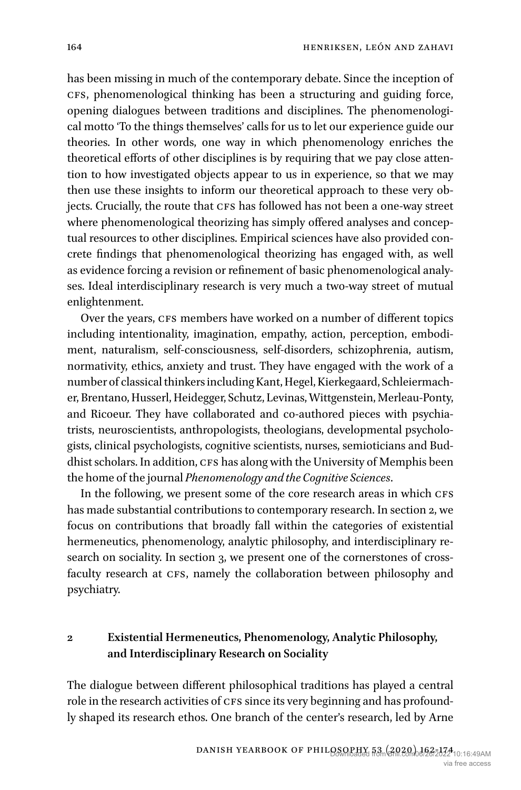has been missing in much of the contemporary debate. Since the inception of cFs, phenomenological thinking has been a structuring and guiding force, opening dialogues between traditions and disciplines. The phenomenological motto 'To the things themselves' calls for us to let our experience guide our theories. In other words, one way in which phenomenology enriches the theoretical efforts of other disciplines is by requiring that we pay close attention to how investigated objects appear to us in experience, so that we may then use these insights to inform our theoretical approach to these very objects. Crucially, the route that CFS has followed has not been a one-way street where phenomenological theorizing has simply offered analyses and conceptual resources to other disciplines. Empirical sciences have also provided concrete findings that phenomenological theorizing has engaged with, as well as evidence forcing a revision or refinement of basic phenomenological analyses. Ideal interdisciplinary research is very much a two-way street of mutual enlightenment.

Over the years, CFS members have worked on a number of different topics including intentionality, imagination, empathy, action, perception, embodiment, naturalism, self-consciousness, self-disorders, schizophrenia, autism, normativity, ethics, anxiety and trust. They have engaged with the work of a number of classical thinkers including Kant, Hegel, Kierkegaard, Schleiermacher, Brentano, Husserl, Heidegger, Schutz, Levinas, Wittgenstein, Merleau-Ponty, and Ricoeur. They have collaborated and co-authored pieces with psychiatrists, neuroscientists, anthropologists, theologians, developmental psychologists, clinical psychologists, cognitive scientists, nurses, semioticians and Buddhist scholars. In addition, CFS has along with the University of Memphis been the home of the journal *Phenomenology and the Cognitive Sciences*.

In the following, we present some of the core research areas in which CFS has made substantial contributions to contemporary research. In section 2, we focus on contributions that broadly fall within the categories of existential hermeneutics, phenomenology, analytic philosophy, and interdisciplinary research on sociality. In section 3, we present one of the cornerstones of crossfaculty research at CFS, namely the collaboration between philosophy and psychiatry.

# **2 Existential Hermeneutics, Phenomenology, Analytic Philosophy, and Interdisciplinary Research on Sociality**

The dialogue between different philosophical traditions has played a central role in the research activities of CFS since its very beginning and has profoundly shaped its research ethos. One branch of the center's research, led by Arne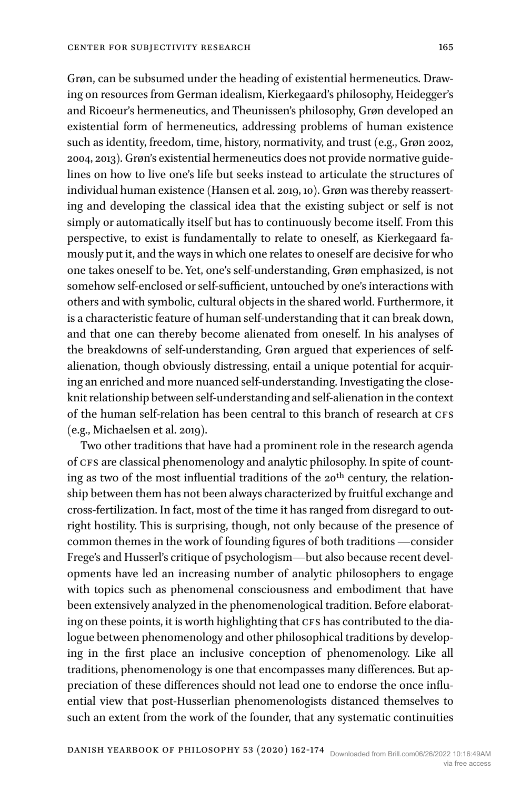Grøn, can be subsumed under the heading of existential hermeneutics. Drawing on resources from German idealism, Kierkegaard's philosophy, Heidegger's and Ricoeur's hermeneutics, and Theunissen's philosophy, Grøn developed an existential form of hermeneutics, addressing problems of human existence such as identity, freedom, time, history, normativity, and trust (e.g., [Grøn 2002,](#page-10-1)  [2004, 2013\)](#page-10-1). Grøn's existential hermeneutics does not provide normative guidelines on how to live one's life but seeks instead to articulate the structures of individual human existence [\(Hansen et al. 2019,](#page-10-2) 10). Grøn was thereby reasserting and developing the classical idea that the existing subject or self is not simply or automatically itself but has to continuously become itself. From this perspective, to exist is fundamentally to relate to oneself, as Kierkegaard famously put it, and the ways in which one relates to oneself are decisive for who one takes oneself to be. Yet, one's self-understanding, Grøn emphasized, is not somehow self-enclosed or self-sufficient, untouched by one's interactions with others and with symbolic, cultural objects in the shared world. Furthermore, it is a characteristic feature of human self-understanding that it can break down, and that one can thereby become alienated from oneself. In his analyses of the breakdowns of self-understanding, Grøn argued that experiences of selfalienation, though obviously distressing, entail a unique potential for acquiring an enriched and more nuanced self-understanding. Investigating the closeknit relationship between self-understanding and self-alienation in the context of the human self-relation has been central to this branch of research at cfs (e.g., [Michaelsen et al. 2019](#page-11-0)).

Two other traditions that have had a prominent role in the research agenda of CFS are classical phenomenology and analytic philosophy. In spite of counting as two of the most influential traditions of the 20<sup>th</sup> century, the relationship between them has not been always characterized by fruitful exchange and cross-fertilization. In fact, most of the time it has ranged from disregard to outright hostility. This is surprising, though, not only because of the presence of common themes in the work of founding figures of both traditions —consider Frege's and Husserl's critique of psychologism—but also because recent developments have led an increasing number of analytic philosophers to engage with topics such as phenomenal consciousness and embodiment that have been extensively analyzed in the phenomenological tradition. Before elaborating on these points, it is worth highlighting that CFS has contributed to the dialogue between phenomenology and other philosophical traditions by developing in the first place an inclusive conception of phenomenology. Like all traditions, phenomenology is one that encompasses many differences. But appreciation of these differences should not lead one to endorse the once influential view that post-Husserlian phenomenologists distanced themselves to such an extent from the work of the founder, that any systematic continuities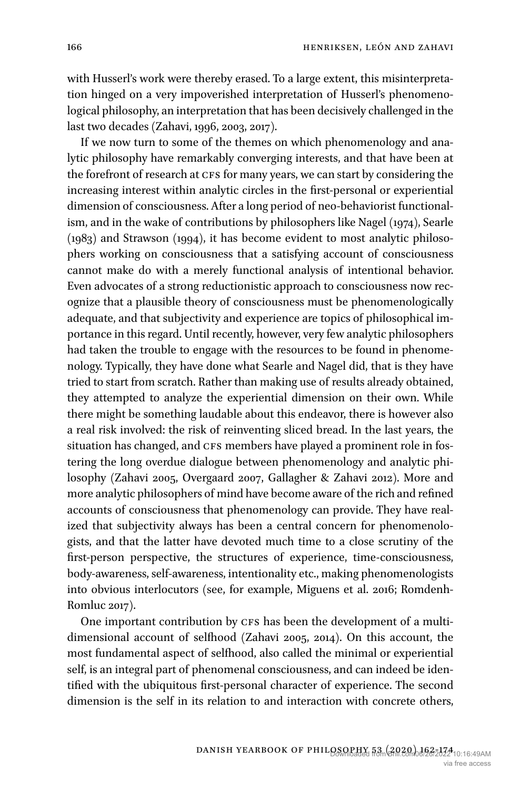with Husserl's work were thereby erased. To a large extent, this misinterpretation hinged on a very impoverished interpretation of Husserl's phenomenological philosophy, an interpretation that has been decisively challenged in the last two decades [\(Zahavi, 1996, 2003, 2017](#page-12-0)).

If we now turn to some of the themes on which phenomenology and analytic philosophy have remarkably converging interests, and that have been at the forefront of research at CFS for many years, we can start by considering the increasing interest within analytic circles in the first-personal or experiential dimension of consciousness. After a long period of neo-behaviorist functionalism, and in the wake of contributions by philosophers like [Nagel \(1974](#page-11-1)), [Searle](#page-12-1)  [\(1983\)](#page-12-1) and [Strawson \(1994\)](#page-12-2), it has become evident to most analytic philosophers working on consciousness that a satisfying account of consciousness cannot make do with a merely functional analysis of intentional behavior. Even advocates of a strong reductionistic approach to consciousness now recognize that a plausible theory of consciousness must be phenomenologically adequate, and that subjectivity and experience are topics of philosophical importance in this regard. Until recently, however, very few analytic philosophers had taken the trouble to engage with the resources to be found in phenomenology. Typically, they have done what Searle and Nagel did, that is they have tried to start from scratch. Rather than making use of results already obtained, they attempted to analyze the experiential dimension on their own. While there might be something laudable about this endeavor, there is however also a real risk involved: the risk of reinventing sliced bread. In the last years, the situation has changed, and CFS members have played a prominent role in fostering the long overdue dialogue between phenomenology and analytic philosophy ([Zahavi 2005](#page-12-3), [Overgaard 2007](#page-11-2), [Gallagher & Zahavi 2012](#page-10-3)). More and more analytic philosophers of mind have become aware of the rich and refined accounts of consciousness that phenomenology can provide. They have realized that subjectivity always has been a central concern for phenomenologists, and that the latter have devoted much time to a close scrutiny of the first-person perspective, the structures of experience, time-consciousness, body-awareness, self-awareness, intentionality etc., making phenomenologists into obvious interlocutors (see, for example, [Miguens et al. 2016;](#page-11-3) [Romdenh-](#page-12-4)[Romluc 2017\)](#page-12-4).

One important contribution by CFS has been the development of a multidimensional account of selfhood [\(Zahavi 2005, 2014\)](#page-12-3). On this account, the most fundamental aspect of selfhood, also called the minimal or experiential self, is an integral part of phenomenal consciousness, and can indeed be identified with the ubiquitous first-personal character of experience. The second dimension is the self in its relation to and interaction with concrete others,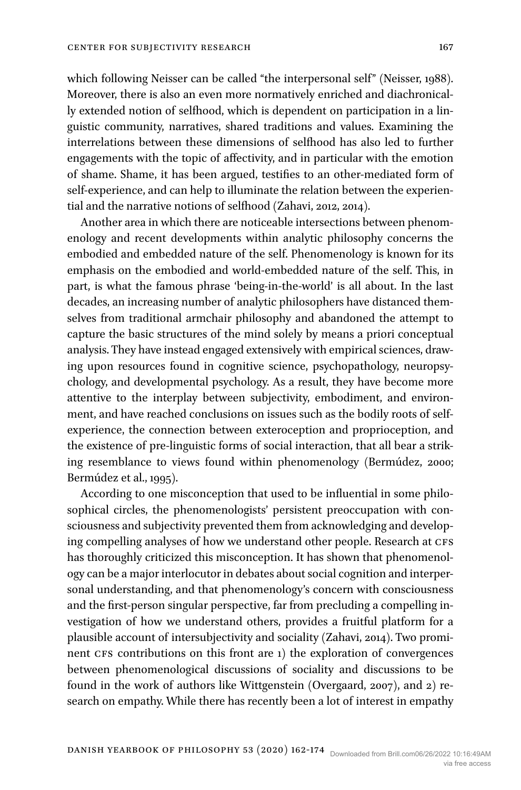which following Neisser can be called "the interpersonal self" ([Neisser, 1988\)](#page-11-4). Moreover, there is also an even more normatively enriched and diachronically extended notion of selfhood, which is dependent on participation in a linguistic community, narratives, shared traditions and values. Examining the interrelations between these dimensions of selfhood has also led to further engagements with the topic of affectivity, and in particular with the emotion of shame. Shame, it has been argued, testifies to an other-mediated form of self-experience, and can help to illuminate the relation between the experiential and the narrative notions of selfhood ([Zahavi, 2012, 2014\)](#page-12-5).

Another area in which there are noticeable intersections between phenomenology and recent developments within analytic philosophy concerns the embodied and embedded nature of the self. Phenomenology is known for its emphasis on the embodied and world-embedded nature of the self. This, in part, is what the famous phrase 'being-in-the-world' is all about. In the last decades, an increasing number of analytic philosophers have distanced themselves from traditional armchair philosophy and abandoned the attempt to capture the basic structures of the mind solely by means a priori conceptual analysis. They have instead engaged extensively with empirical sciences, drawing upon resources found in cognitive science, psychopathology, neuropsychology, and developmental psychology. As a result, they have become more attentive to the interplay between subjectivity, embodiment, and environment, and have reached conclusions on issues such as the bodily roots of selfexperience, the connection between exteroception and proprioception, and the existence of pre-linguistic forms of social interaction, that all bear a striking resemblance to views found within phenomenology ([Bermúdez, 2000](#page-10-4); [Bermúdez et al., 1995\)](#page-10-5).

According to one misconception that used to be influential in some philosophical circles, the phenomenologists' persistent preoccupation with consciousness and subjectivity prevented them from acknowledging and developing compelling analyses of how we understand other people. Research at CFS has thoroughly criticized this misconception. It has shown that phenomenology can be a major interlocutor in debates about social cognition and interpersonal understanding, and that phenomenology's concern with consciousness and the first-person singular perspective, far from precluding a compelling investigation of how we understand others, provides a fruitful platform for a plausible account of intersubjectivity and sociality ([Zahavi, 2014\)](#page-12-6). Two prominent CFS contributions on this front are 1) the exploration of convergences between phenomenological discussions of sociality and discussions to be found in the work of authors like Wittgenstein [\(Overgaard, 2007\)](#page-11-2), and 2) research on empathy. While there has recently been a lot of interest in empathy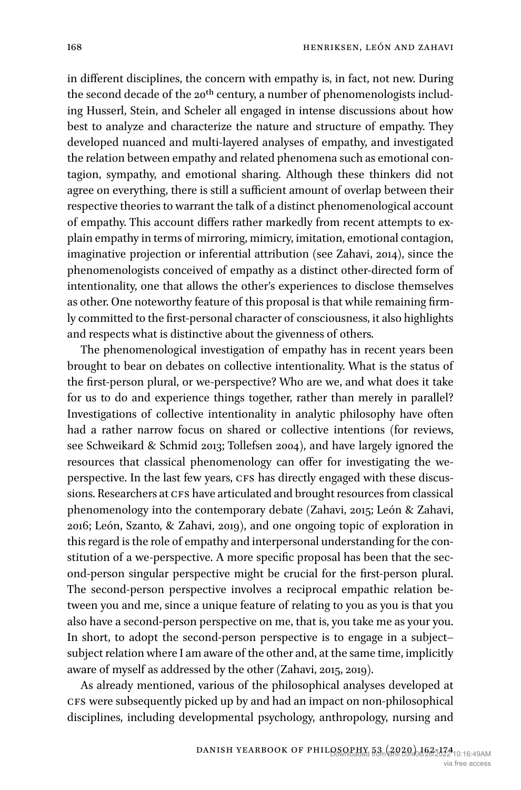in different disciplines, the concern with empathy is, in fact, not new. During the second decade of the 20<sup>th</sup> century, a number of phenomenologists including Husserl, Stein, and Scheler all engaged in intense discussions about how best to analyze and characterize the nature and structure of empathy. They developed nuanced and multi-layered analyses of empathy, and investigated the relation between empathy and related phenomena such as emotional contagion, sympathy, and emotional sharing. Although these thinkers did not agree on everything, there is still a sufficient amount of overlap between their respective theories to warrant the talk of a distinct phenomenological account of empathy. This account differs rather markedly from recent attempts to explain empathy in terms of mirroring, mimicry, imitation, emotional contagion, imaginative projection or inferential attribution (see [Zahavi, 2014](#page-12-6)), since the phenomenologists conceived of empathy as a distinct other-directed form of intentionality, one that allows the other's experiences to disclose themselves as other. One noteworthy feature of this proposal is that while remaining firmly committed to the first-personal character of consciousness, it also highlights and respects what is distinctive about the givenness of others.

The phenomenological investigation of empathy has in recent years been brought to bear on debates on collective intentionality. What is the status of the first-person plural, or we-perspective? Who are we, and what does it take for us to do and experience things together, rather than merely in parallel? Investigations of collective intentionality in analytic philosophy have often had a rather narrow focus on shared or collective intentions (for reviews, see [Schweikard & Schmid 2013](#page-12-7); [Tollefsen 2004](#page-12-8)), and have largely ignored the resources that classical phenomenology can offer for investigating the weperspective. In the last few years, CFS has directly engaged with these discussions. Researchers at CFS have articulated and brought resources from classical phenomenology into the contemporary debate ([Zahavi, 2015;](#page-12-9) [León & Zahavi,](#page-11-5)  [2016;](#page-11-5) [León, Szanto, & Zahavi, 2019](#page-11-6)), and one ongoing topic of exploration in this regard is the role of empathy and interpersonal understanding for the constitution of a we-perspective. A more specific proposal has been that the second-person singular perspective might be crucial for the first-person plural. The second-person perspective involves a reciprocal empathic relation between you and me, since a unique feature of relating to you as you is that you also have a second-person perspective on me, that is, you take me as your you. In short, to adopt the second-person perspective is to engage in a subject– subject relation where I am aware of the other and, at the same time, implicitly aware of myself as addressed by the other ([Zahavi, 2015, 2019\)](#page-12-9).

As already mentioned, various of the philosophical analyses developed at cfs were subsequently picked up by and had an impact on non-philosophical disciplines, including developmental psychology, anthropology, nursing and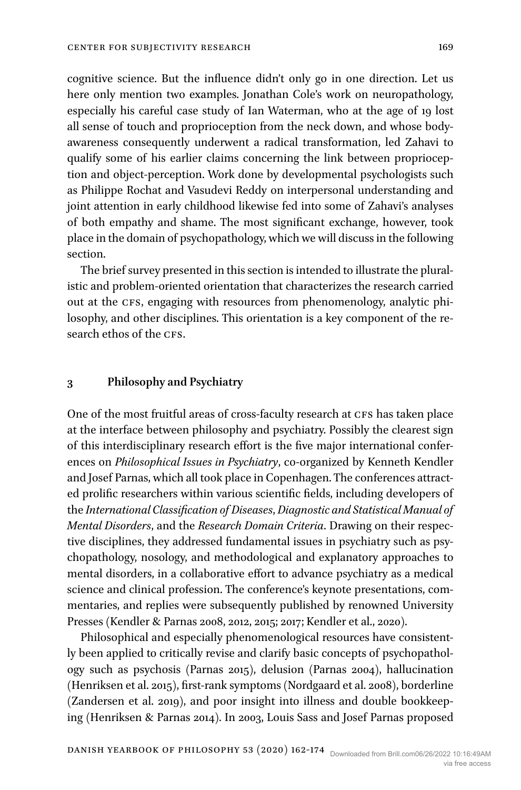cognitive science. But the influence didn't only go in one direction. Let us here only mention two examples. Jonathan Cole's work on neuropathology, especially his careful case study of Ian Waterman, who at the age of 19 lost all sense of touch and proprioception from the neck down, and whose bodyawareness consequently underwent a radical transformation, led Zahavi to qualify some of his earlier claims concerning the link between proprioception and object-perception. Work done by developmental psychologists such as Philippe Rochat and Vasudevi Reddy on interpersonal understanding and joint attention in early childhood likewise fed into some of Zahavi's analyses of both empathy and shame. The most significant exchange, however, took place in the domain of psychopathology, which we will discuss in the following section.

The brief survey presented in this section is intended to illustrate the pluralistic and problem-oriented orientation that characterizes the research carried out at the CFS, engaging with resources from phenomenology, analytic philosophy, and other disciplines. This orientation is a key component of the research ethos of the CFS.

### **3 Philosophy and Psychiatry**

One of the most fruitful areas of cross-faculty research at CFS has taken place at the interface between philosophy and psychiatry. Possibly the clearest sign of this interdisciplinary research effort is the five major international conferences on *Philosophical Issues in Psychiatry*, co-organized by Kenneth Kendler and Josef Parnas, which all took place in Copenhagen. The conferences attracted prolific researchers within various scientific fields, including developers of the *International Classification of Diseases*, *Diagnostic and Statistical Manual of Mental Disorders*, and the *Research Domain Criteria*. Drawing on their respective disciplines, they addressed fundamental issues in psychiatry such as psychopathology, nosology, and methodological and explanatory approaches to mental disorders, in a collaborative effort to advance psychiatry as a medical science and clinical profession. The conference's keynote presentations, commentaries, and replies were subsequently published by renowned University Presses ([Kendler & Parnas 2008, 2012, 2015](#page-10-6); 2017; [Kendler et al., 2020\)](#page-11-7).

Philosophical and especially phenomenological resources have consistently been applied to critically revise and clarify basic concepts of psychopathology such as psychosis [\(Parnas 2015](#page-11-8)), delusion [\(Parnas 2004](#page-11-9)), hallucination [\(Henriksen et al. 2015](#page-10-7)), first-rank symptoms ([Nordgaard et al. 2008\)](#page-11-10), borderline [\(Zandersen et al. 2019](#page-12-10)), and poor insight into illness and double bookkeeping [\(Henriksen & Parnas 2014](#page-10-8)). In 2003, Louis Sass and Josef Parnas proposed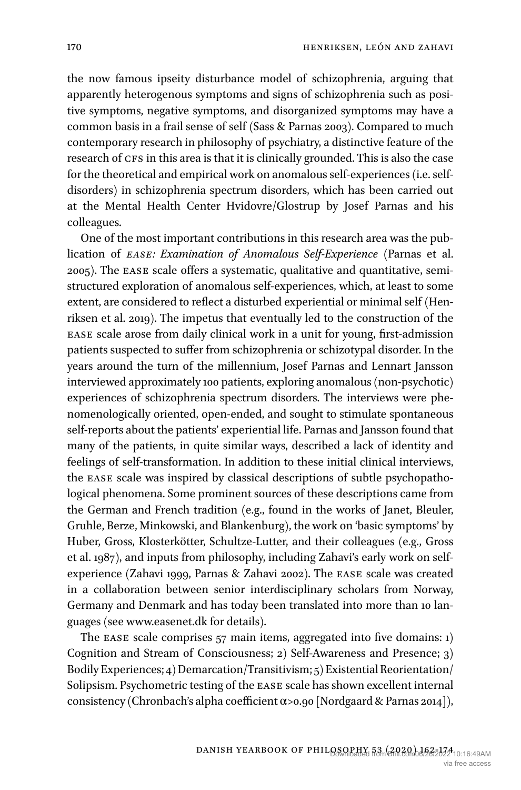the now famous ipseity disturbance model of schizophrenia, arguing that apparently heterogenous symptoms and signs of schizophrenia such as positive symptoms, negative symptoms, and disorganized symptoms may have a common basis in a frail sense of self ([Sass & Parnas 2003](#page-12-11)). Compared to much contemporary research in philosophy of psychiatry, a distinctive feature of the research of CFS in this area is that it is clinically grounded. This is also the case for the theoretical and empirical work on anomalous self-experiences (i.e. selfdisorders) in schizophrenia spectrum disorders, which has been carried out at the Mental Health Center Hvidovre/Glostrup by Josef Parnas and his colleagues.

One of the most important contributions in this research area was the publication of *ease: Examination of Anomalous Self-Experience* [\(Parnas et al.](#page-12-12)  [2005](#page-12-12)). The ease scale offers a systematic, qualitative and quantitative, semistructured exploration of anomalous self-experiences, which, at least to some extent, are considered to reflect a disturbed experiential or minimal self ([Hen](#page-10-9)[riksen et al. 2019\)](#page-10-9). The impetus that eventually led to the construction of the ease scale arose from daily clinical work in a unit for young, first-admission patients suspected to suffer from schizophrenia or schizotypal disorder. In the years around the turn of the millennium, Josef Parnas and Lennart Jansson interviewed approximately 100 patients, exploring anomalous (non-psychotic) experiences of schizophrenia spectrum disorders. The interviews were phenomenologically oriented, open-ended, and sought to stimulate spontaneous self-reports about the patients' experiential life. Parnas and Jansson found that many of the patients, in quite similar ways, described a lack of identity and feelings of self-transformation. In addition to these initial clinical interviews, the ease scale was inspired by classical descriptions of subtle psychopathological phenomena. Some prominent sources of these descriptions came from the German and French tradition (e.g., found in the works of Janet, Bleuler, Gruhle, Berze, Minkowski, and Blankenburg), the work on 'basic symptoms' by Huber, Gross, Klosterkötter, Schultze-Lutter, and their colleagues (e.g., [Gross](#page-10-10)  [et al. 1987](#page-10-10)), and inputs from philosophy, including Zahavi's early work on selfexperience [\(Zahavi 1999](#page-12-13), [Parnas & Zahavi 2002](#page-12-14)). The ease scale was created in a collaboration between senior interdisciplinary scholars from Norway, Germany and Denmark and has today been translated into more than 10 languages (see [www.easenet.dk](http://www.easenet.dk) for details).

The EASE scale comprises 57 main items, aggregated into five domains: 1) Cognition and Stream of Consciousness; 2) Self-Awareness and Presence; 3) Bodily Experiences; 4) Demarcation/Transitivism; 5) Existential Reorientation/ Solipsism. Psychometric testing of the ease scale has shown excellent internal consistency (Chronbach's alpha coefficient α>0.90 [\[Nordgaard & Parnas 2014](#page-11-11)]),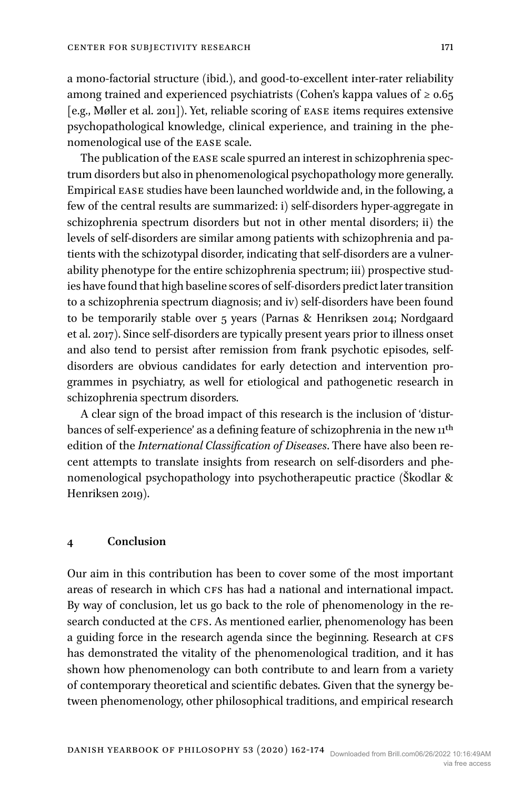a mono-factorial structure (ibid.), and good-to-excellent inter-rater reliability among trained and experienced psychiatrists (Cohen's kappa values of  $\geq 0.65$ ) [e.g., [Møller et al. 2011](#page-11-12)]). Yet, reliable scoring of ease items requires extensive psychopathological knowledge, clinical experience, and training in the phenomenological use of the ease scale.

The publication of the ease scale spurred an interest in schizophrenia spectrum disorders but also in phenomenological psychopathology more generally. Empirical ease studies have been launched worldwide and, in the following, a few of the central results are summarized: i) self-disorders hyper-aggregate in schizophrenia spectrum disorders but not in other mental disorders; ii) the levels of self-disorders are similar among patients with schizophrenia and patients with the schizotypal disorder, indicating that self-disorders are a vulnerability phenotype for the entire schizophrenia spectrum; iii) prospective studies have found that high baseline scores of self-disorders predict later transition to a schizophrenia spectrum diagnosis; and iv) self-disorders have been found to be temporarily stable over 5 years [\(Parnas & Henriksen 2014](#page-11-13); [Nordgaard](#page-11-14)  [et al. 2017](#page-11-14)). Since self-disorders are typically present years prior to illness onset and also tend to persist after remission from frank psychotic episodes, selfdisorders are obvious candidates for early detection and intervention programmes in psychiatry, as well for etiological and pathogenetic research in schizophrenia spectrum disorders.

A clear sign of the broad impact of this research is the inclusion of 'disturbances of self-experience' as a defining feature of schizophrenia in the new  $11<sup>th</sup>$ edition of the *International Classification of Diseases*. There have also been recent attempts to translate insights from research on self-disorders and phenomenological psychopathology into psychotherapeutic practice [\(Škodlar &](#page-12-15)  [Henriksen 2019\)](#page-12-15).

#### **4 Conclusion**

Our aim in this contribution has been to cover some of the most important areas of research in which CFS has had a national and international impact. By way of conclusion, let us go back to the role of phenomenology in the research conducted at the CFS. As mentioned earlier, phenomenology has been a guiding force in the research agenda since the beginning. Research at CFS has demonstrated the vitality of the phenomenological tradition, and it has shown how phenomenology can both contribute to and learn from a variety of contemporary theoretical and scientific debates. Given that the synergy between phenomenology, other philosophical traditions, and empirical research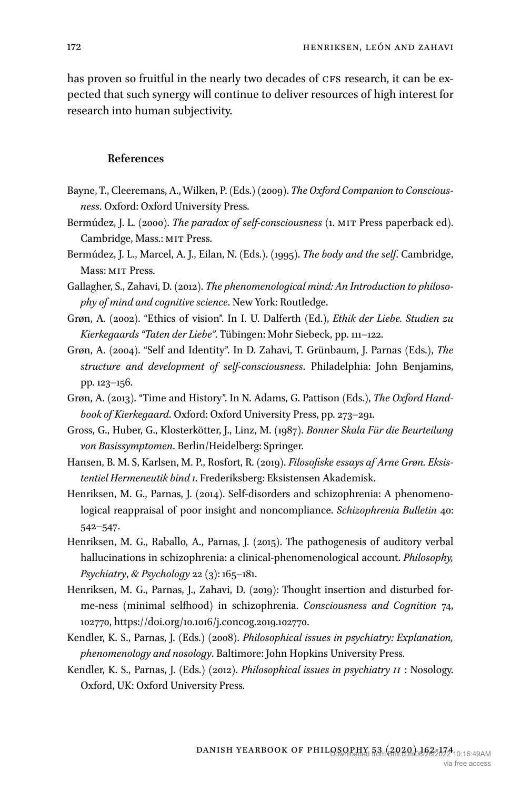has proven so fruitful in the nearly two decades of CFS research, it can be expected that such synergy will continue to deliver resources of high interest for research into human subjectivity.

### **References**

- <span id="page-10-0"></span>Bayne, T., Cleeremans, A., Wilken, P. (Eds.) (2009). *The Oxford Companion to Consciousness*. Oxford: Oxford University Press.
- <span id="page-10-4"></span>Bermúdez, J. L. (2000). *The paradox of self-consciousness* (1. mit Press paperback ed). Cambridge, Mass.: MIT Press.
- <span id="page-10-5"></span>Bermúdez, J. L., Marcel, A. J., Eilan, N. (Eds.). (1995). *The body and the self*. Cambridge, Mass: MIT Press.
- <span id="page-10-3"></span>Gallagher, S., Zahavi, D. (2012). *The phenomenological mind: An Introduction to philosophy of mind and cognitive science*. New York: Routledge.
- <span id="page-10-1"></span>Grøn, A. (2002). "Ethics of vision". In I. U. Dalferth (Ed.), *Ethik der Liebe. Studien zu Kierkegaards "Taten der Liebe"*. Tübingen: Mohr Siebeck, pp. 111–122.
- Grøn, A. (2004). "Self and Identity". In D. Zahavi, T. Grünbaum, J. Parnas (Eds.), *The structure and development of self-consciousness*. Philadelphia: John Benjamins, pp. 123–156.
- Grøn, A. (2013). "Time and History". In N. Adams, G. Pattison (Eds.), *The Oxford Handbook of Kierkegaard*. Oxford: Oxford University Press, pp. 273–291.
- <span id="page-10-10"></span>Gross, G., Huber, G., Klosterkötter, J., Linz, M. (1987). *Bonner Skala Für die Beurteilung von Basissymptomen*. Berlin/Heidelberg: Springer.
- <span id="page-10-2"></span>Hansen, B. M. S, Karlsen, M. P., Rosfort, R. (2019). *Filosofiske essays af Arne Grøn. Eksistentiel Hermeneutik bind 1*. Frederiksberg: Eksistensen Akademisk.
- <span id="page-10-8"></span>Henriksen, M. G., Parnas, J. (2014). Self-disorders and schizophrenia: A phenomenological reappraisal of poor insight and noncompliance. *Schizophrenia Bulletin* 40: 542–547.
- <span id="page-10-7"></span>Henriksen, M. G., Raballo, A., Parnas, J. (2015). The pathogenesis of auditory verbal hallucinations in schizophrenia: a clinical-phenomenological account. *Philosophy, Psychiatry*, *& Psychology* 22 (3): 165–181.
- <span id="page-10-9"></span>Henriksen, M. G., Parnas, J., Zahavi, D. (2019): Thought insertion and disturbed forme-ness (minimal selfhood) in schizophrenia. *Consciousness and Cognition* 74, 102770,<https://doi.org/10.1016/j.concog.2019.102770>.
- <span id="page-10-6"></span>Kendler, K. S., Parnas, J. (Eds.) (2008). *Philosophical issues in psychiatry: Explanation, phenomenology and nosology*. Baltimore: John Hopkins University Press.
- Kendler, K. S., Parnas, J. (Eds.) (2012). *Philosophical issues in psychiatry ii* : Nosology. Oxford, UK: Oxford University Press.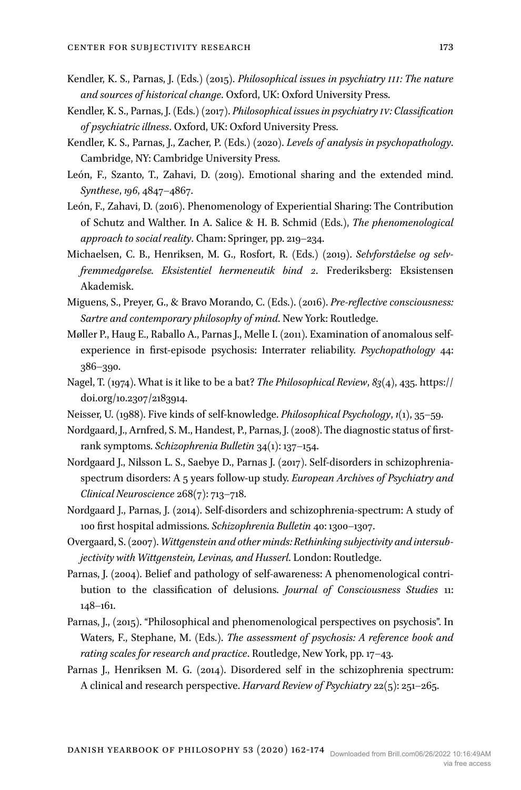- Kendler, K. S., Parnas, J. (Eds.) (2015). *Philosophical issues in psychiatry iii: The nature and sources of historical change*. Oxford, UK: Oxford University Press.
- Kendler, K. S., Parnas, J. (Eds.) (2017). *Philosophical issues in psychiatry iv: Classification of psychiatric illness*. Oxford, UK: Oxford University Press.
- <span id="page-11-7"></span>Kendler, K. S., Parnas, J., Zacher, P. (Eds.) (2020). *Levels of analysis in psychopathology*. Cambridge, NY: Cambridge University Press.
- <span id="page-11-6"></span>León, F., Szanto, T., Zahavi, D. (2019). Emotional sharing and the extended mind. *Synthese*, *196*, 4847–4867.
- <span id="page-11-5"></span>León, F., Zahavi, D. (2016). Phenomenology of Experiential Sharing: The Contribution of Schutz and Walther. In A. Salice & H. B. Schmid (Eds.), *The phenomenological approach to social reality*. Cham: Springer, pp. 219–234.
- <span id="page-11-0"></span>Michaelsen, C. B., Henriksen, M. G., Rosfort, R. (Eds.) (2019). *Selvforståelse og selvfremmedgørelse. Eksistentiel hermeneutik bind 2*. Frederiksberg: Eksistensen Akademisk.
- <span id="page-11-3"></span>Miguens, S., Preyer, G., & Bravo Morando, C. (Eds.). (2016). *Pre-reflective consciousness: Sartre and contemporary philosophy of mind*. New York: Routledge.
- <span id="page-11-12"></span>Møller P., Haug E., Raballo A., Parnas J., Melle I. (2011). Examination of anomalous selfexperience in first-episode psychosis: Interrater reliability. *Psychopathology* 44: 386–390.
- <span id="page-11-1"></span>Nagel, T. (1974). What is it like to be a bat? *The Philosophical Review*, *83*(4), 435. [https://](https://doi.org/10.2307/2183914) [doi.org/10.2307/2183914](https://doi.org/10.2307/2183914).
- <span id="page-11-4"></span>Neisser, U. (1988). Five kinds of self-knowledge. *Philosophical Psychology*, *1*(1), 35–59.
- <span id="page-11-10"></span>Nordgaard, J., Arnfred, S. M., Handest, P., Parnas, J. (2008). The diagnostic status of firstrank symptoms. *Schizophrenia Bulletin* 34(1): 137–154.
- <span id="page-11-14"></span>Nordgaard J., Nilsson L. S., Saebye D., Parnas J. (2017). Self-disorders in schizophreniaspectrum disorders: A 5 years follow-up study. *European Archives of Psychiatry and Clinical Neuroscience* 268(7): 713–718.
- <span id="page-11-11"></span>Nordgaard J., Parnas, J. (2014). Self-disorders and schizophrenia-spectrum: A study of 100 first hospital admissions. *Schizophrenia Bulletin* 40: 1300–1307.
- <span id="page-11-2"></span>Overgaard, S. (2007). *Wittgenstein and other minds: Rethinking subjectivity and intersubjectivity with Wittgenstein, Levinas, and Husserl*. London: Routledge.
- <span id="page-11-9"></span>Parnas, J. (2004). Belief and pathology of self-awareness: A phenomenological contribution to the classification of delusions. *Journal of Consciousness Studies* 11: 148–161.
- <span id="page-11-8"></span>Parnas, J., (2015). "Philosophical and phenomenological perspectives on psychosis". In Waters, F., Stephane, M. (Eds.). *The assessment of psychosis: A reference book and rating scales for research and practice*. Routledge, New York, pp. 17–43.
- <span id="page-11-13"></span>Parnas J., Henriksen M. G. (2014). Disordered self in the schizophrenia spectrum: A clinical and research perspective. *Harvard Review of Psychiatry* 22(5): 251–265.